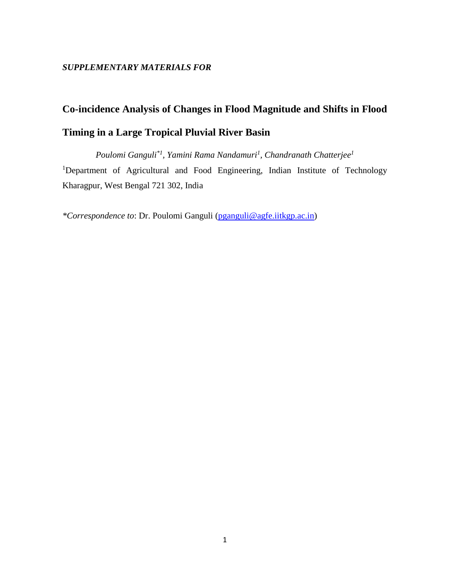## **Co-incidence Analysis of Changes in Flood Magnitude and Shifts in Flood Timing in a Large Tropical Pluvial River Basin**

*Poulomi Ganguli\*1 , Yamini Rama Nandamuri<sup>1</sup> , Chandranath Chatterjee<sup>1</sup>* <sup>1</sup>Department of Agricultural and Food Engineering, Indian Institute of Technology Kharagpur, West Bengal 721 302, India

*\*Correspondence to*: Dr. Poulomi Ganguli [\(pganguli@agfe.iitkgp.ac.in\)](mailto:pganguli@agfe.iitkgp.ac.in)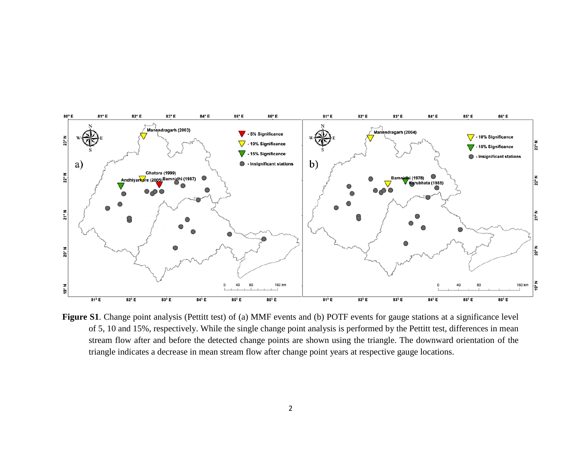

**Figure S1**. Change point analysis (Pettitt test) of (a) MMF events and (b) POTF events for gauge stations at a significance level of 5, 10 and 15%, respectively. While the single change point analysis is performed by the Pettitt test, differences in mean stream flow after and before the detected change points are shown using the triangle. The downward orientation of the triangle indicates a decrease in mean stream flow after change point years at respective gauge locations.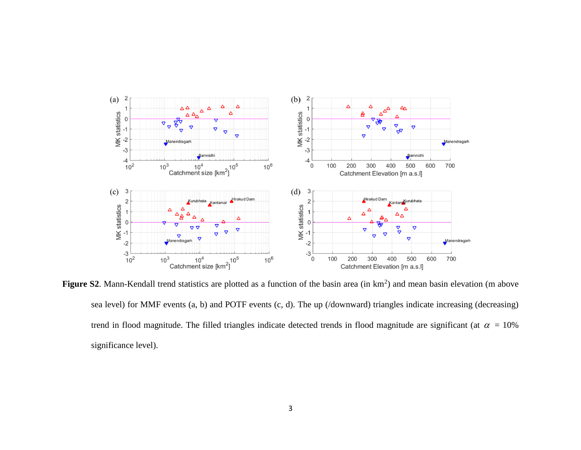

Figure S2. Mann-Kendall trend statistics are plotted as a function of the basin area (in km<sup>2</sup>) and mean basin elevation (m above sea level) for MMF events (a, b) and POTF events (c, d). The up (/downward) triangles indicate increasing (decreasing) trend in flood magnitude. The filled triangles indicate detected trends in flood magnitude are significant (at  $\alpha = 10\%$ significance level).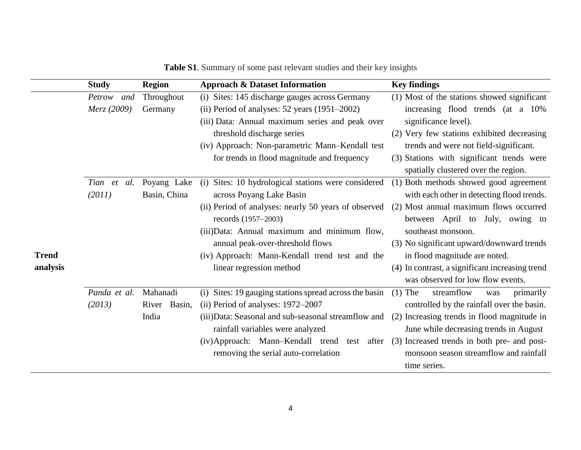|              | <b>Study</b>   | <b>Region</b> | <b>Approach &amp; Dataset Information</b>              | <b>Key findings</b>                               |  |  |
|--------------|----------------|---------------|--------------------------------------------------------|---------------------------------------------------|--|--|
|              | Petrow and     | Throughout    | (i) Sites: 145 discharge gauges across Germany         | (1) Most of the stations showed significant       |  |  |
|              | Merz (2009)    | Germany       | (ii) Period of analyses: $52$ years $(1951-2002)$      | increasing flood trends (at a 10%                 |  |  |
|              |                |               | (iii) Data: Annual maximum series and peak over        | significance level).                              |  |  |
|              |                |               | threshold discharge series                             | (2) Very few stations exhibited decreasing        |  |  |
|              |                |               | (iv) Approach: Non-parametric Mann-Kendall test        | trends and were not field-significant.            |  |  |
|              |                |               | for trends in flood magnitude and frequency            | (3) Stations with significant trends were         |  |  |
|              |                |               |                                                        | spatially clustered over the region.              |  |  |
|              | Tian et<br>al. | Poyang Lake   | Sites: 10 hydrological stations were considered<br>(i) | (1) Both methods showed good agreement            |  |  |
|              | (2011)         | Basin, China  | across Poyang Lake Basin                               | with each other in detecting flood trends.        |  |  |
|              |                |               | (ii) Period of analyses: nearly 50 years of observed   | (2) Most annual maximum flows occurred            |  |  |
|              |                |               | records (1957–2003)                                    | between April to July, owing to                   |  |  |
|              |                |               | (iii) Data: Annual maximum and minimum flow,           | southeast monsoon.                                |  |  |
|              |                |               | annual peak-over-threshold flows                       | (3) No significant upward/downward trends         |  |  |
| <b>Trend</b> |                |               | (iv) Approach: Mann-Kendall trend test and the         | in flood magnitude are noted.                     |  |  |
| analysis     |                |               | linear regression method                               | (4) In contrast, a significant increasing trend   |  |  |
|              |                |               |                                                        | was observed for low flow events.                 |  |  |
|              | Panda et al.   | Mahanadi      | (i) Sites: 19 gauging stations spread across the basin | $(1)$ The<br>streamflow<br>primarily<br>was       |  |  |
|              | (2013)         | River Basin,  | (ii) Period of analyses: 1972–2007                     | controlled by the rainfall over the basin.        |  |  |
|              |                | India         | (iii) Data: Seasonal and sub-seasonal streamflow and   | (2) Increasing trends in flood magnitude in       |  |  |
|              |                |               | rainfall variables were analyzed                       | June while decreasing trends in August            |  |  |
|              |                |               | (iv)Approach: Mann-Kendall trend test                  | after (3) Increased trends in both pre- and post- |  |  |
|              |                |               | removing the serial auto-correlation                   | monsoon season streamflow and rainfall            |  |  |
|              |                |               |                                                        | time series.                                      |  |  |

**Table S1**. Summary of some past relevant studies and their key insights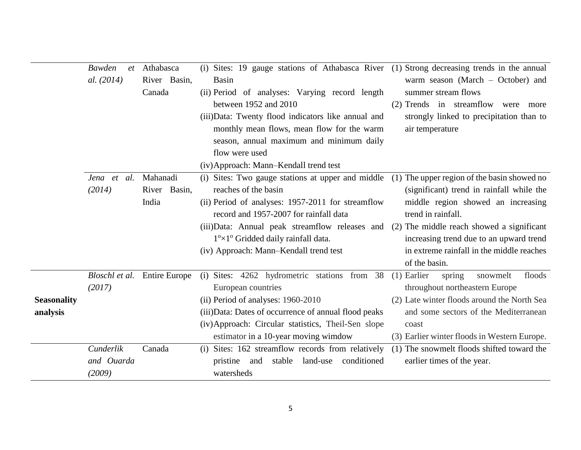|                    | <b>Bawden</b> | et Athabasca                 | (i) Sites: 19 gauge stations of Athabasca River (1) Strong decreasing trends in the annual |                                               |  |  |
|--------------------|---------------|------------------------------|--------------------------------------------------------------------------------------------|-----------------------------------------------|--|--|
|                    | al. (2014)    | River Basin,                 | <b>Basin</b>                                                                               | warm season (March $-$ October) and           |  |  |
|                    |               | Canada                       | (ii) Period of analyses: Varying record length                                             | summer stream flows                           |  |  |
|                    |               |                              | between 1952 and 2010                                                                      | (2) Trends in streamflow were more            |  |  |
|                    |               |                              | (iii) Data: Twenty flood indicators like annual and                                        | strongly linked to precipitation than to      |  |  |
|                    |               |                              | monthly mean flows, mean flow for the warm                                                 | air temperature                               |  |  |
|                    |               |                              | season, annual maximum and minimum daily                                                   |                                               |  |  |
|                    |               |                              | flow were used                                                                             |                                               |  |  |
|                    |               |                              | (iv) Approach: Mann-Kendall trend test                                                     |                                               |  |  |
|                    | Jena et al.   | Mahanadi                     | (i) Sites: Two gauge stations at upper and middle                                          | (1) The upper region of the basin showed no   |  |  |
|                    | (2014)        | River Basin,                 | reaches of the basin                                                                       | (significant) trend in rainfall while the     |  |  |
|                    |               | India                        | (ii) Period of analyses: 1957-2011 for streamflow                                          | middle region showed an increasing            |  |  |
|                    |               |                              | record and 1957-2007 for rainfall data                                                     | trend in rainfall.                            |  |  |
|                    |               |                              | (iii) Data: Annual peak streamflow releases and (2) The middle reach showed a significant  |                                               |  |  |
|                    |               |                              | $1^{\circ} \times 1^{\circ}$ Gridded daily rainfall data.                                  | increasing trend due to an upward trend       |  |  |
|                    |               |                              | (iv) Approach: Mann-Kendall trend test                                                     | in extreme rainfall in the middle reaches     |  |  |
|                    |               |                              |                                                                                            | of the basin.                                 |  |  |
|                    |               | Bloschl et al. Entire Europe | (i) Sites: 4262 hydrometric stations from 38                                               | $(1)$ Earlier<br>floods<br>spring<br>snowmelt |  |  |
|                    | (2017)        |                              | European countries                                                                         | throughout northeastern Europe                |  |  |
| <b>Seasonality</b> |               |                              | (ii) Period of analyses: 1960-2010                                                         | (2) Late winter floods around the North Sea   |  |  |
| analysis           |               |                              | (iii) Data: Dates of occurrence of annual flood peaks                                      | and some sectors of the Mediterranean         |  |  |
|                    |               |                              | (iv) Approach: Circular statistics, Theil-Sen slope                                        | coast                                         |  |  |
|                    |               |                              | estimator in a 10-year moving wimdow                                                       | (3) Earlier winter floods in Western Europe.  |  |  |
|                    | Cunderlik     | Canada                       | (i) Sites: 162 streamflow records from relatively                                          | (1) The snowmelt floods shifted toward the    |  |  |
|                    | and Ouarda    |                              | conditioned<br>pristine and<br>stable<br>land-use                                          | earlier times of the year.                    |  |  |
|                    | (2009)        |                              | watersheds                                                                                 |                                               |  |  |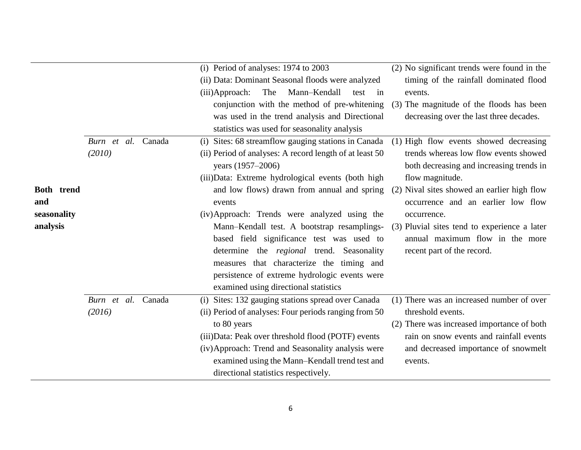|             |                    |        | (i) Period of analyses: 1974 to 2003                    | (2) No significant trends were found in the  |
|-------------|--------------------|--------|---------------------------------------------------------|----------------------------------------------|
|             |                    |        | (ii) Data: Dominant Seasonal floods were analyzed       | timing of the rainfall dominated flood       |
|             |                    |        | Mann-Kendall<br>(iii)Approach:<br>The<br>test<br>in     | events.                                      |
|             |                    |        | conjunction with the method of pre-whitening            | (3) The magnitude of the floods has been     |
|             |                    |        | was used in the trend analysis and Directional          | decreasing over the last three decades.      |
|             |                    |        | statistics was used for seasonality analysis            |                                              |
|             | Burn et al.        | Canada | (i) Sites: 68 streamflow gauging stations in Canada     | (1) High flow events showed decreasing       |
|             | (2010)             |        | (ii) Period of analyses: A record length of at least 50 | trends whereas low flow events showed        |
|             |                    |        | years (1957-2006)                                       | both decreasing and increasing trends in     |
|             |                    |        | (iii) Data: Extreme hydrological events (both high      | flow magnitude.                              |
| Both trend  |                    |        | and low flows) drawn from annual and spring             | (2) Nival sites showed an earlier high flow  |
| and         |                    |        | events                                                  | occurrence and an earlier low flow           |
| seasonality |                    |        | (iv)Approach: Trends were analyzed using the            | occurrence.                                  |
| analysis    |                    |        | Mann-Kendall test. A bootstrap resamplings-             | (3) Pluvial sites tend to experience a later |
|             |                    |        | based field significance test was used to               | annual maximum flow in the more              |
|             |                    |        | determine the <i>regional</i> trend. Seasonality        | recent part of the record.                   |
|             |                    |        | measures that characterize the timing and               |                                              |
|             |                    |        | persistence of extreme hydrologic events were           |                                              |
|             |                    |        | examined using directional statistics                   |                                              |
|             | Burn et al. Canada |        | (i) Sites: 132 gauging stations spread over Canada      | (1) There was an increased number of over    |
|             | (2016)             |        | (ii) Period of analyses: Four periods ranging from 50   | threshold events.                            |
|             |                    |        | to 80 years                                             | (2) There was increased importance of both   |
|             |                    |        | (iii) Data: Peak over threshold flood (POTF) events     | rain on snow events and rainfall events      |
|             |                    |        | (iv) Approach: Trend and Seasonality analysis were      | and decreased importance of snowmelt         |
|             |                    |        | examined using the Mann–Kendall trend test and          | events.                                      |
|             |                    |        | directional statistics respectively.                    |                                              |
|             |                    |        |                                                         |                                              |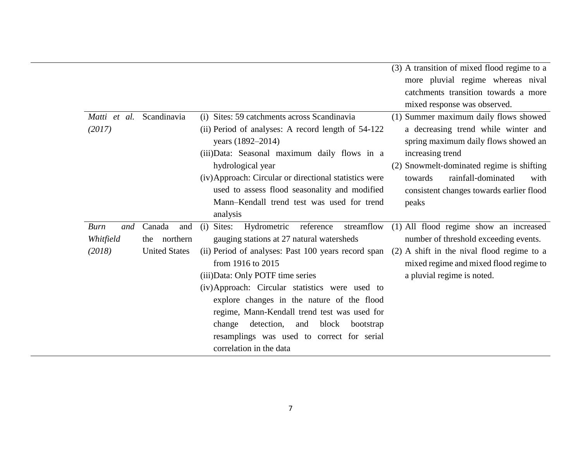|                                    |                      |                                                                                                                                                                                                                                                                                                                                                                                             | (3) A transition of mixed flood regime to a<br>more pluvial regime whereas nival<br>catchments transition towards a more<br>mixed response was observed.                                                                                                                            |
|------------------------------------|----------------------|---------------------------------------------------------------------------------------------------------------------------------------------------------------------------------------------------------------------------------------------------------------------------------------------------------------------------------------------------------------------------------------------|-------------------------------------------------------------------------------------------------------------------------------------------------------------------------------------------------------------------------------------------------------------------------------------|
| Matti et al. Scandinavia<br>(2017) |                      | (i) Sites: 59 catchments across Scandinavia<br>(ii) Period of analyses: A record length of 54-122<br>years (1892–2014)<br>(iii) Data: Seasonal maximum daily flows in a<br>hydrological year<br>(iv) Approach: Circular or directional statistics were<br>used to assess flood seasonality and modified<br>Mann-Kendall trend test was used for trend<br>analysis                           | (1) Summer maximum daily flows showed<br>a decreasing trend while winter and<br>spring maximum daily flows showed an<br>increasing trend<br>(2) Snowmelt-dominated regime is shifting<br>rainfall-dominated<br>towards<br>with<br>consistent changes towards earlier flood<br>peaks |
| Burn<br>and                        | Canada<br>and        | Hydrometric<br>reference<br>streamflow<br>(i)<br>Sites:                                                                                                                                                                                                                                                                                                                                     | (1) All flood regime show an increased                                                                                                                                                                                                                                              |
| Whitfield                          | northern<br>the      | gauging stations at 27 natural watersheds                                                                                                                                                                                                                                                                                                                                                   | number of threshold exceeding events.                                                                                                                                                                                                                                               |
| (2018)                             | <b>United States</b> | (ii) Period of analyses: Past 100 years record span<br>from 1916 to 2015<br>(iii) Data: Only POTF time series<br>(iv)Approach: Circular statistics were used to<br>explore changes in the nature of the flood<br>regime, Mann-Kendall trend test was used for<br>detection,<br>block<br>change<br>and<br>bootstrap<br>resamplings was used to correct for serial<br>correlation in the data | $(2)$ A shift in the nival flood regime to a<br>mixed regime and mixed flood regime to<br>a pluvial regime is noted.                                                                                                                                                                |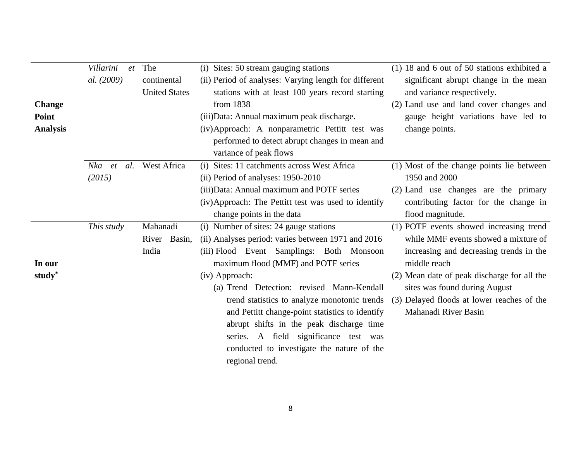| Villarini<br>The<br>et<br>al. (2009)<br>continental<br><b>Change</b><br>Point<br><b>Analysis</b> |                         | <b>United States</b> | (i) Sites: 50 stream gauging stations<br>(ii) Period of analyses: Varying length for different<br>stations with at least 100 years record starting<br>from 1838<br>(iii) Data: Annual maximum peak discharge.<br>(iv)Approach: A nonparametric Pettitt test was<br>performed to detect abrupt changes in mean and<br>variance of peak flows                                                                                                                                                              | $(1)$ 18 and 6 out of 50 stations exhibited a<br>significant abrupt change in the mean<br>and variance respectively.<br>(2) Land use and land cover changes and<br>gauge height variations have led to<br>change points.                                                                         |  |
|--------------------------------------------------------------------------------------------------|-------------------------|----------------------|----------------------------------------------------------------------------------------------------------------------------------------------------------------------------------------------------------------------------------------------------------------------------------------------------------------------------------------------------------------------------------------------------------------------------------------------------------------------------------------------------------|--------------------------------------------------------------------------------------------------------------------------------------------------------------------------------------------------------------------------------------------------------------------------------------------------|--|
|                                                                                                  | Nka et<br>al.<br>(2015) | West Africa          | (i) Sites: 11 catchments across West Africa<br>(ii) Period of analyses: 1950-2010<br>(iii) Data: Annual maximum and POTF series<br>(iv) Approach: The Pettitt test was used to identify<br>change points in the data                                                                                                                                                                                                                                                                                     | (1) Most of the change points lie between<br>1950 and 2000<br>(2) Land use changes are the primary<br>contributing factor for the change in<br>flood magnitude.                                                                                                                                  |  |
| Mahanadi<br>This study<br>River Basin,<br>India<br>In our<br>study <sup>*</sup>                  |                         |                      | (i) Number of sites: 24 gauge stations<br>(ii) Analyses period: varies between 1971 and 2016<br>(iii) Flood Event Samplings: Both Monsoon<br>maximum flood (MMF) and POTF series<br>(iv) Approach:<br>(a) Trend Detection: revised Mann-Kendall<br>trend statistics to analyze monotonic trends<br>and Pettitt change-point statistics to identify<br>abrupt shifts in the peak discharge time<br>series. A field significance test was<br>conducted to investigate the nature of the<br>regional trend. | (1) POTF events showed increasing trend<br>while MMF events showed a mixture of<br>increasing and decreasing trends in the<br>middle reach<br>(2) Mean date of peak discharge for all the<br>sites was found during August<br>(3) Delayed floods at lower reaches of the<br>Mahanadi River Basin |  |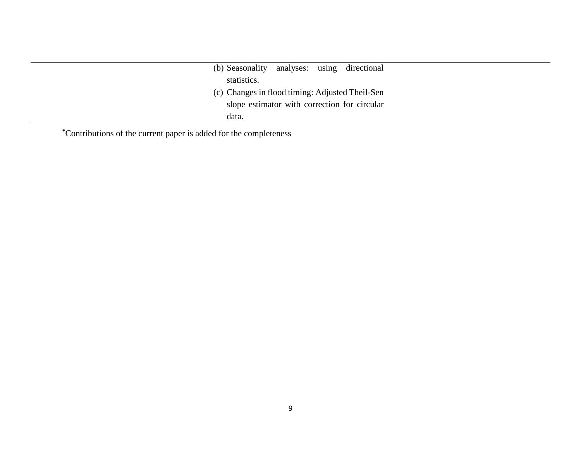| (b) Seasonality analyses: using directional     |
|-------------------------------------------------|
| statistics.                                     |
| (c) Changes in flood timing: Adjusted Theil-Sen |
| slope estimator with correction for circular    |
| data.                                           |

**\***Contributions of the current paper is added for the completeness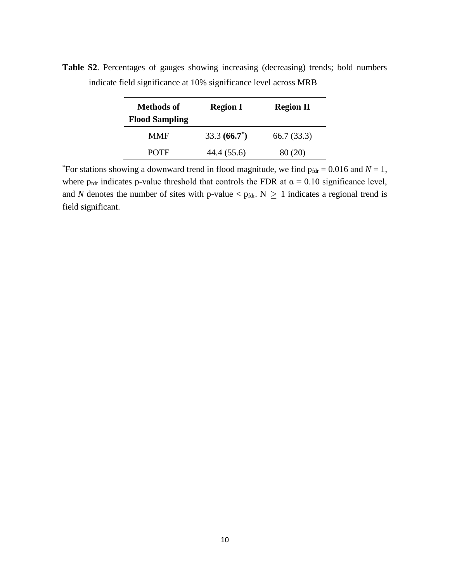| <b>Methods of</b><br><b>Flood Sampling</b> | <b>Region I</b> | <b>Region II</b> |  |
|--------------------------------------------|-----------------|------------------|--|
| <b>MMF</b>                                 | $33.3(66.7^*)$  | 66.7 (33.3)      |  |
| <b>POTE</b>                                | 44.4 (55.6)     | 80(20)           |  |

**Table S2**. Percentages of gauges showing increasing (decreasing) trends; bold numbers indicate field significance at 10% significance level across MRB

\*For stations showing a downward trend in flood magnitude, we find  $p_{\text{fdr}} = 0.016$  and  $N = 1$ , where p<sub>fdr</sub> indicates p-value threshold that controls the FDR at  $\alpha = 0.10$  significance level, and *N* denotes the number of sites with p-value  $<$  p<sub>fdr</sub>. N  $\geq$  1 indicates a regional trend is field significant.